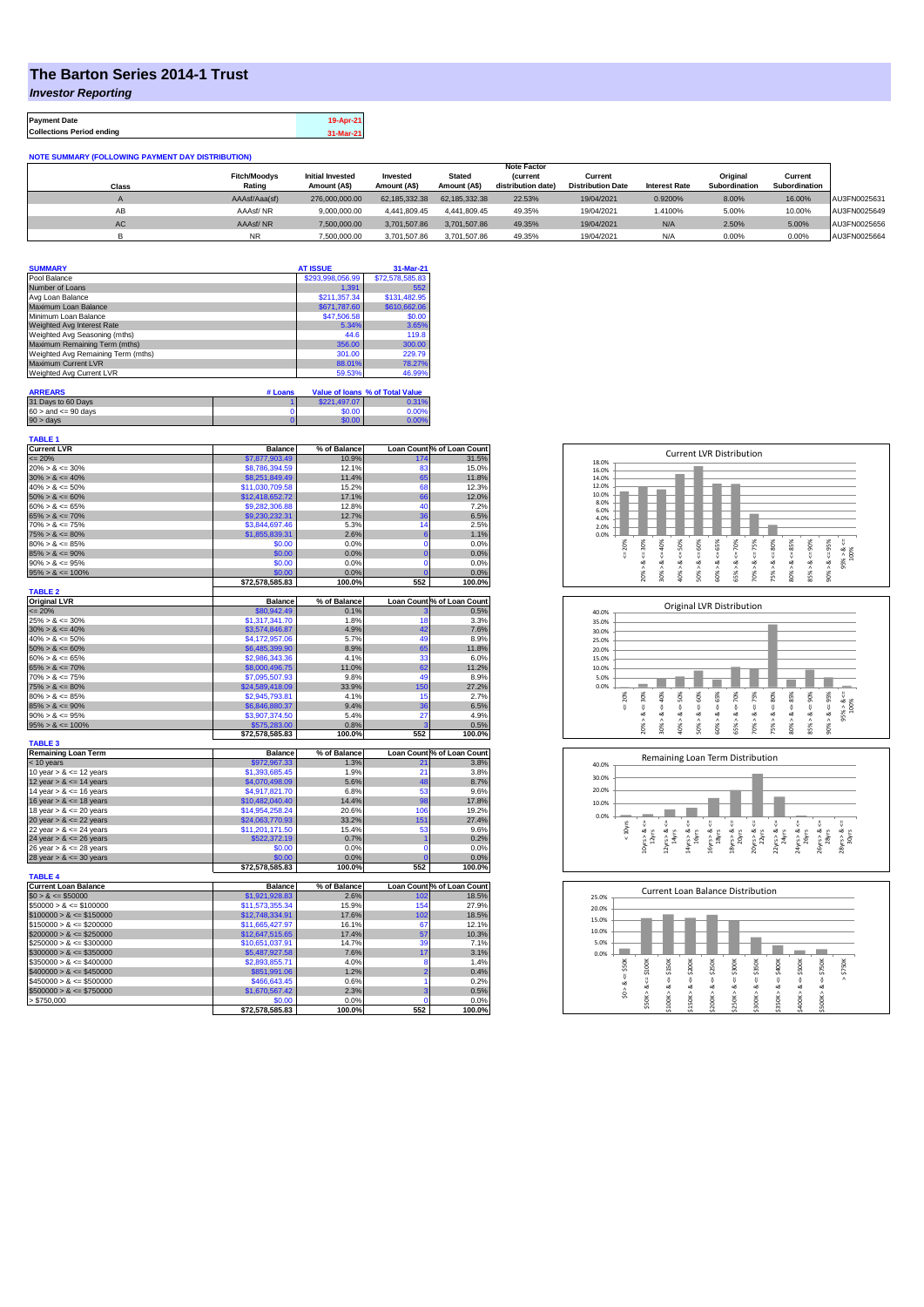## **The Barton Series 2014-1 Trust**

*Investor Reporting*

**Payment Date 19-Apr-21 Collections Period ending 31-Mar-21**

## **NOTE SUMMARY (FOLLOWING PAYMENT DAY DISTRIBUTION)**

|           |                     |                         |               |               | <b>Note Factor</b> |                          |                      |                      |               |              |
|-----------|---------------------|-------------------------|---------------|---------------|--------------------|--------------------------|----------------------|----------------------|---------------|--------------|
|           | <b>Fitch/Moodys</b> | <b>Initial Invested</b> | Invested      | <b>Stated</b> | <i>(current</i>    | Current                  |                      | Original             | Current       |              |
| Class     | Rating              | Amount (A\$)            | Amount (A\$)  | Amount (A\$)  | distribution date) | <b>Distribution Date</b> | <b>Interest Rate</b> | <b>Subordination</b> | Subordination |              |
|           | AAAsf/Aaa(sf)       | 276.000.000.00          | 62.185.332.38 | 62.185.332.38 | 22.53%             | 19/04/2021               | 0.9200%              | 8.00%                | 16.00%        | AU3FN0025631 |
| AB        | AAAsf/NR            | 9.000.000.00            | 4.441.809.45  | 4.441.809.45  | 49.35%             | 19/04/2021               | 1.4100%              | 5.00%                | 10.00%        | AU3FN0025649 |
| <b>AC</b> | AAAsf/NR            | 7.500.000.00            | 3.701.507.86  | 3.701.507.86  | 49.35%             | 19/04/2021               | N/A                  | 2.50%                | 5.00%         | AU3FN0025656 |
|           | NR.                 | 7.500.000.00            | 3.701.507.86  | 3.701.507.86  | 49.35%             | 19/04/2021               | N/A                  | 0.00%                | 0.00%         | AU3FN0025664 |

| <b>SUMMARY</b>                     | <b>AT ISSUE</b>  | 31-Mar-21       |
|------------------------------------|------------------|-----------------|
| Pool Balance                       | \$293,998,056.99 | \$72,578,585.83 |
| Number of Loans                    | 1.391            | 552             |
| Avg Loan Balance                   | \$211,357,34     | \$131,482.95    |
| Maximum Loan Balance               | \$671,787.60     | \$610,662.06    |
| Minimum Loan Balance               | \$47,506.58      | \$0.00          |
| Weighted Avg Interest Rate         | 5.34%            | 3.65%           |
| Weighted Avg Seasoning (mths)      | 44.6             | 119.8           |
| Maximum Remaining Term (mths)      | 356.00           | 300.00          |
| Weighted Avg Remaining Term (mths) | 301.00           | 229.79          |
| Maximum Current LVR                | 88.01%           | 78.27%          |
| Weighted Avg Current LVR           | 59.53%           | 46.99%          |

| <b>ARREARS</b>            | # Loans |              | Value of Ioans % of Total Value |
|---------------------------|---------|--------------|---------------------------------|
| 31 Days to 60 Days        |         | \$221,497.07 | 0.31%                           |
| $60 >$ and $\leq 90$ days |         | \$0.00       | 0.00%                           |
| $90 >$ days               |         | \$0.00       | 0.00%                           |

| TABLE 1                     |                 |              |                 |                            |
|-----------------------------|-----------------|--------------|-----------------|----------------------------|
| <b>Current LVR</b>          | <b>Balance</b>  | % of Balance |                 | Loan Count % of Loan Count |
| $= 20%$                     | \$7,877,903.49  | 10.9%        | 174             | 31.5%                      |
| $20\% > 8 \le 30\%$         | \$8,786,394.59  | 12.1%        | 83              | 15.0%                      |
| $30\% > 8 \le 40\%$         | \$8,251,849.49  | 11.4%        | 65              | 11.8%                      |
| $40\% > 8 \le 50\%$         | \$11,030,709.58 | 15.2%        | 68              | 12.3%                      |
| $50\% > 8 \le 60\%$         | \$12,418,652.72 | 17.1%        | 66              | 12.0%                      |
| $60\% > 8 \le 65\%$         | \$9,282,306.88  | 12.8%        | 40              | 7.2%                       |
| $65\% > 8 \le 70\%$         | \$9,230,232.31  | 12.7%        | 36              | 6.5%                       |
| $70\% > 8 \le 75\%$         | \$3,844,697.46  | 5.3%         | 14              | 2.5%                       |
| $75\% > 8 \le 80\%$         | \$1,855,839.31  | 2.6%         | $6\phantom{1}6$ | 1.1%                       |
| $80\% > 8 \le 85\%$         | \$0.00          | 0.0%         | 0               | 0.0%                       |
| $85\% > 8 \le 90\%$         | \$0.00          | 0.0%         | $\overline{0}$  | 0.0%                       |
| $90\% > 8 \le 95\%$         | \$0.00          | 0.0%         | $\overline{0}$  | 0.0%                       |
| $95\% > 8 \le 100\%$        | \$0.00          | 0.0%         | $\overline{0}$  | 0.0%                       |
|                             | \$72,578,585.83 | 100.0%       | 552             | 100.0%                     |
| <b>TABLE 2</b>              |                 |              |                 |                            |
| <b>Original LVR</b>         | <b>Balance</b>  | % of Balance |                 | Loan Count % of Loan Count |
| $= 20%$                     | \$80,942.49     | 0.1%         | 3               | 0.5%                       |
| $25\% > 8 \le 30\%$         | \$1,317,341.70  | 1.8%         | 18              | 3.3%                       |
|                             |                 |              |                 |                            |
| $30\% > 8 \le 40\%$         | \$3,574,846.87  | 4.9%         | 42              | 7.6%                       |
| $40\% > 8 \le 50\%$         | \$4,172,957.06  | 5.7%         | 49              | 8.9%                       |
| $50\% > 8 \le 60\%$         | \$6,485,399.90  | 8.9%         | 65              | 11.8%                      |
| $60\% > 8 \le 65\%$         | \$2,986,343.36  | 4.1%         | 33              | 6.0%                       |
| $65\% > 8 \le 70\%$         | \$8,000,496.75  | 11.0%        | 62              | 11.2%                      |
| $70\% > 8 \le 75\%$         | \$7,095,507.93  | 9.8%         | 49              | 8.9%                       |
| $75\% > 8 \le 80\%$         | \$24,589,418.09 | 33.9%        | 150             | 27.2%                      |
| $80\% > 8 \le 85\%$         | \$2,945,793.81  | 4.1%         | 15              | 2.7%                       |
| $85\% > 8 \le 90\%$         | \$6,846,880.37  | 9.4%         | 36              | 6.5%                       |
| $90\% > 8 \le 95\%$         | \$3,907,374.50  | 5.4%         | 27              | 4.9%                       |
| $95\% > 8 \le 100\%$        | \$575.283.00    | 0.8%         | ä               | 0.5%                       |
|                             | \$72,578,585.83 | 100.0%       | 552             | 100.0%                     |
| <b>TABLE 3</b>              |                 |              |                 |                            |
| <b>Remaining Loan Term</b>  | <b>Balance</b>  | % of Balance |                 | Loan Count % of Loan Count |
| < 10 years                  | \$972,967.33    | 1.3%         | 21              | 3.8%                       |
| 10 year $> 8 \le 12$ years  | \$1,393,685.45  | 1.9%         | 21              | 3.8%                       |
| 12 year $> 8 \le 14$ years  | \$4,070,498.09  | 5.6%         | 48              | 8.7%                       |
| 14 year $> 8 \le 16$ years  | \$4,917,821.70  | 6.8%         | 53              | 9.6%                       |
| 16 year $> 8 \le 18$ years  | \$10,482,040.40 | 14.4%        | 98              | 17.8%                      |
| 18 year $> 8 \le 20$ years  | \$14,954,258.24 | 20.6%        | 106             | 19.2%                      |
| 20 year $> 8 \le 22$ years  | \$24,063,770.93 | 33.2%        | 151             | 27.4%                      |
| 22 year $> 8 \le 24$ years  |                 | 15.4%        | 53              | 9.6%                       |
|                             | \$11,201,171.50 |              |                 |                            |
| 24 year $> 8 \le 26$ years  | \$522,372.19    | 0.7%         | 1               | 0.2%                       |
| 26 year $> 8 \le 28$ years  | \$0.00          | 0.0%         | $\overline{0}$  | 0.0%                       |
| 28 year $> 8 \le 30$ years  | \$0.00          | 0.0%         | $\overline{0}$  | 0.0%                       |
|                             | \$72,578,585.83 | 100.0%       | 552             | 100.0%                     |
| <b>TABLE 4</b>              |                 |              |                 |                            |
| <b>Current Loan Balance</b> | <b>Balance</b>  | % of Balance |                 | Loan Count % of Loan Count |
| $$0 > 8 \le $50000$         | \$1,921,928.83  | 2.6%         | 102             | 18.5%                      |
| $$50000 > 8 \le $100000$    | \$11,573,355.34 | 15.9%        | 154             | 27.9%                      |
| $$100000 > 8 \le $150000$   | \$12,748,334.91 | 17.6%        | 102             | 18.5%                      |
| $$150000 > 8 \le $200000$   | \$11,665,427.97 | 16.1%        | 67              | 12.1%                      |
| $$200000 > 8 \leq $250000$  | \$12,647,515.65 | 17.4%        | 57              | 10.3%                      |
| $$250000 > 8 \leq $300000$  | \$10,651,037.91 | 14.7%        | 39              | 7.1%                       |
| $$300000 > 8 \leq $350000$  | \$5,487,927.58  | 7.6%         | 17              | 3.1%                       |
| $$350000 > 8 \le $400000$   | \$2,893,855.71  | 4.0%         | 8               | 1.4%                       |
| $$400000 > 8 \le $450000$   | \$851,991.06    | 1.2%         | $\overline{2}$  | 0.4%                       |
| $$450000 > 8 \le $500000$   | \$466,643.45    | 0.6%         | 1               | 0.2%                       |
| $$500000 > 8 \le $750000$   | \$1,670,567.42  | 2.3%         | 3               | 0.5%                       |
| > \$750.000                 | \$0.00          | 0.0%         | $\mathbf 0$     | 0.0%                       |
|                             | \$72,578,585.83 | 100.0%       | 552             | 100.0%                     |
|                             |                 |              |                 |                            |







| 25.0% |                |        |        |         |         | Current Loan Balance Distribution |        |        |        |        |           |
|-------|----------------|--------|--------|---------|---------|-----------------------------------|--------|--------|--------|--------|-----------|
| 20.0% |                |        |        |         |         |                                   |        |        |        |        |           |
| 15.0% |                |        |        |         |         |                                   |        |        |        |        |           |
| 10.0% |                |        |        |         |         |                                   |        |        |        |        |           |
| 5.0%  |                |        |        |         |         |                                   |        |        |        |        |           |
| 0.0%  |                |        |        |         |         |                                   |        |        |        |        |           |
|       | \$50K          | \$100K | \$150K | \$200K  | \$250K  | \$300K                            | \$350K | \$400K | \$500K | \$750K | \$750K    |
|       | U              |        |        |         |         |                                   |        |        |        |        | $\Lambda$ |
|       | œ              | ₹<br>જ | ₩<br>œ | ₩<br>œ  | υ<br>oð | V<br>∞                            | ₩<br>œ | ű<br>ಹ | ₩<br>œ | V<br>∞ |           |
|       | $\wedge$<br>S. |        |        |         |         | ٨                                 |        | ٨      |        | Λ      |           |
|       |                | \$50K> | \$100K | \$150K> | \$200K  | \$250K                            | \$300K | \$350K | \$400K | \$500K |           |
|       |                |        |        |         |         |                                   |        |        |        |        |           |